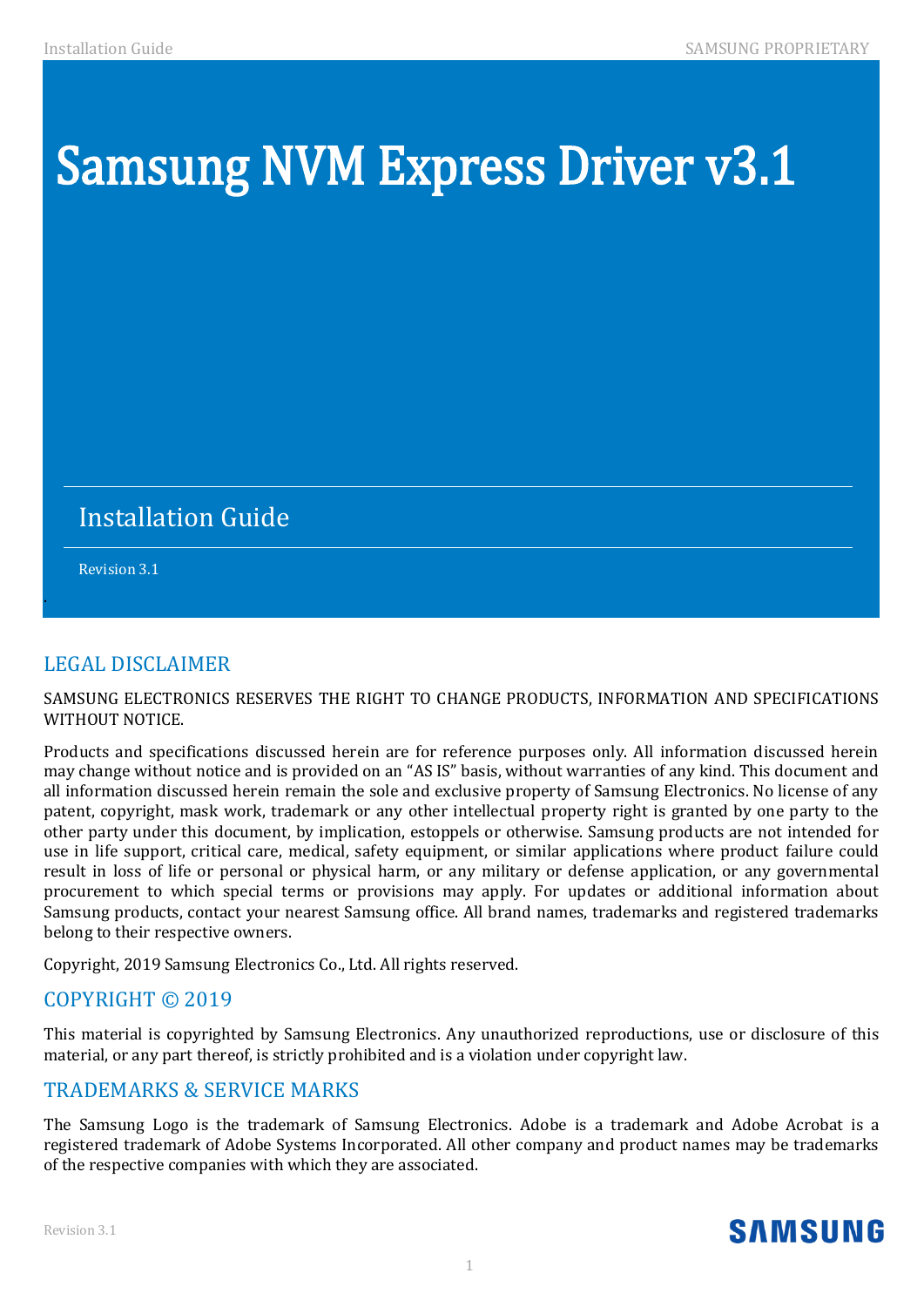# Samsung NVM Express Driver v3.1

# Installation Guide

Revision 3.1

.

# LEGAL DISCLAIMER

SAMSUNG ELECTRONICS RESERVES THE RIGHT TO CHANGE PRODUCTS, INFORMATION AND SPECIFICATIONS WITHOUT NOTICE.

Products and specifications discussed herein are for reference purposes only. All information discussed herein may change without notice and is provided on an "AS IS" basis, without warranties of any kind. This document and all information discussed herein remain the sole and exclusive property of Samsung Electronics. No license of any patent, copyright, mask work, trademark or any other intellectual property right is granted by one party to the other party under this document, by implication, estoppels or otherwise. Samsung products are not intended for use in life support, critical care, medical, safety equipment, or similar applications where product failure could result in loss of life or personal or physical harm, or any military or defense application, or any governmental procurement to which special terms or provisions may apply. For updates or additional information about Samsung products, contact your nearest Samsung office. All brand names, trademarks and registered trademarks belong to their respective owners.

Copyright, 2019 Samsung Electronics Co., Ltd. All rights reserved.

## COPYRIGHT © 2019

This material is copyrighted by Samsung Electronics. Any unauthorized reproductions, use or disclosure of this material, or any part thereof, is strictly prohibited and is a violation under copyright law.

## TRADEMARKS & SERVICE MARKS

The Samsung Logo is the trademark of Samsung Electronics. Adobe is a trademark and Adobe Acrobat is a registered trademark of Adobe Systems Incorporated. All other company and product names may be trademarks of the respective companies with which they are associated.

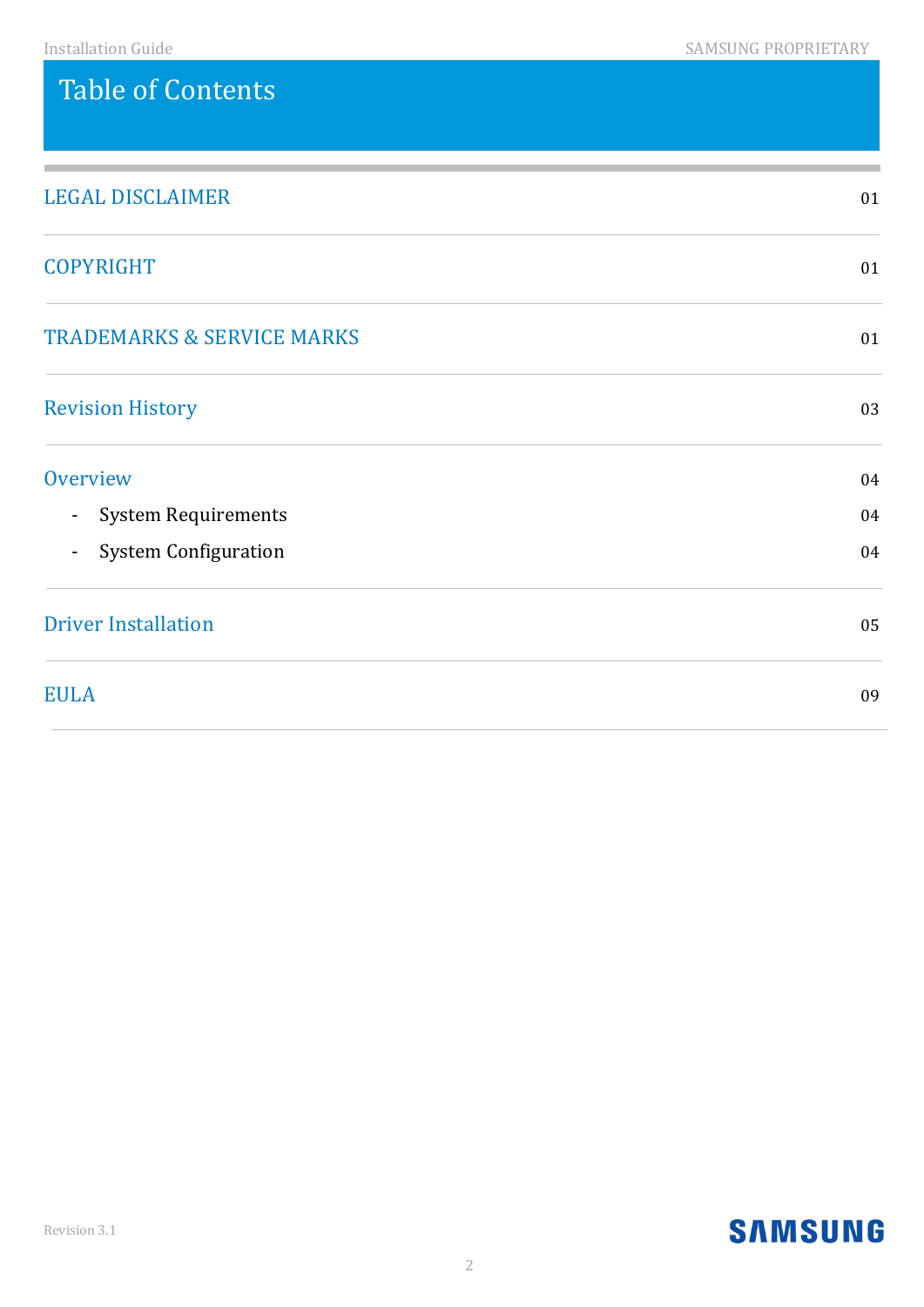# Table of Contents

| <b>LEGAL DISCLAIMER</b>                       | 01 |
|-----------------------------------------------|----|
| <b>COPYRIGHT</b>                              | 01 |
| <b>TRADEMARKS &amp; SERVICE MARKS</b>         | 01 |
| <b>Revision History</b>                       | 03 |
| Overview                                      | 04 |
| <b>System Requirements</b><br>$\sim$          | 04 |
| <b>System Configuration</b><br>$\blacksquare$ | 04 |
| <b>Driver Installation</b>                    | 05 |
| <b>EULA</b>                                   | 09 |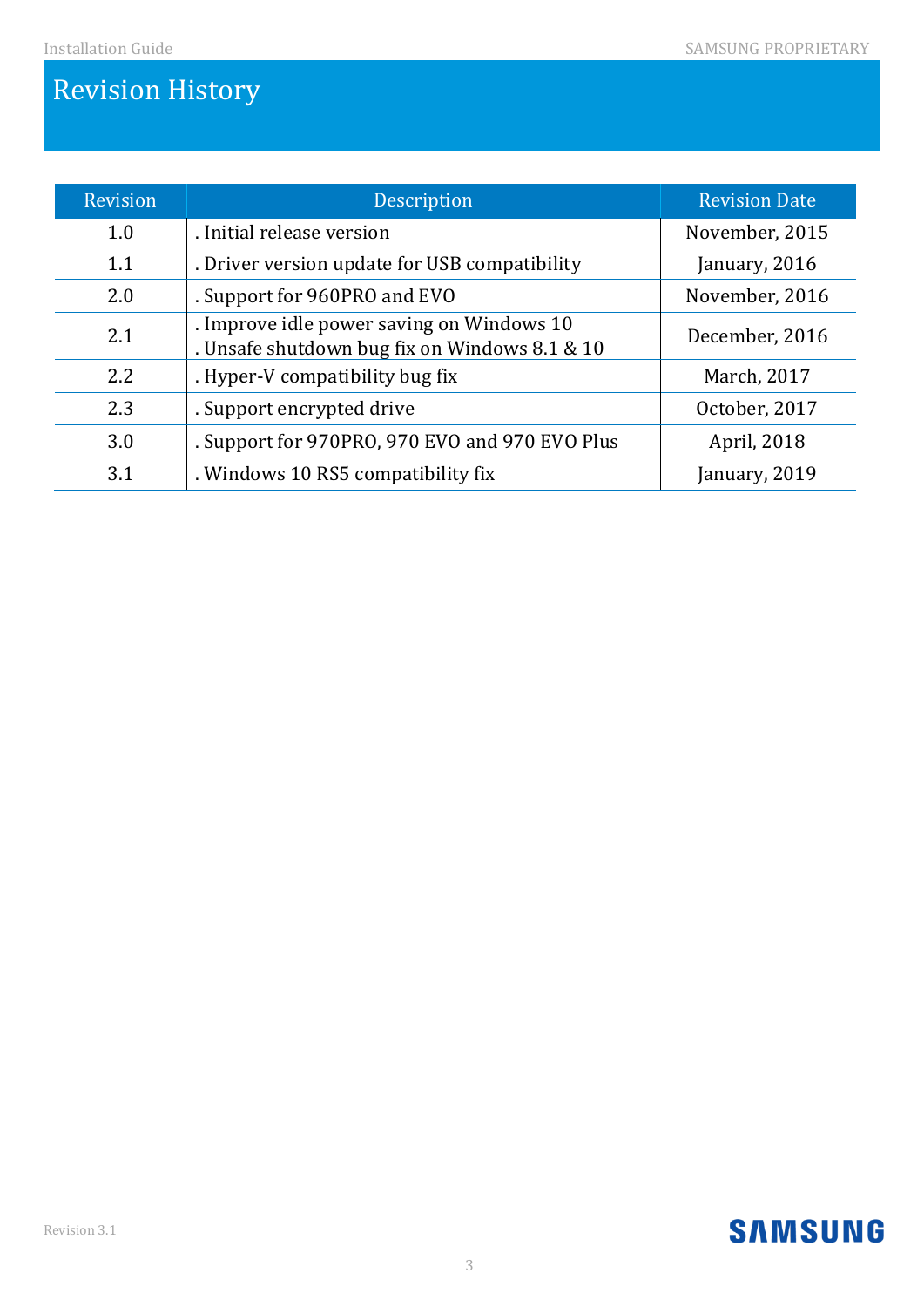# Revision History

| <b>Revision</b> | Description                                                                                | <b>Revision Date</b> |
|-----------------|--------------------------------------------------------------------------------------------|----------------------|
| 1.0             | . Initial release version                                                                  | November, 2015       |
| 1.1             | . Driver version update for USB compatibility                                              | January, 2016        |
| 2.0             | . Support for 960PRO and EVO                                                               | November, 2016       |
| 2.1             | . Improve idle power saving on Windows 10<br>. Unsafe shutdown bug fix on Windows 8.1 & 10 | December, 2016       |
| 2.2             | . Hyper-V compatibility bug fix                                                            | March, 2017          |
| 2.3             | . Support encrypted drive                                                                  | October, 2017        |
| 3.0             | . Support for 970PRO, 970 EVO and 970 EVO Plus                                             | April, 2018          |
| 3.1             | . Windows 10 RS5 compatibility fix                                                         | January, 2019        |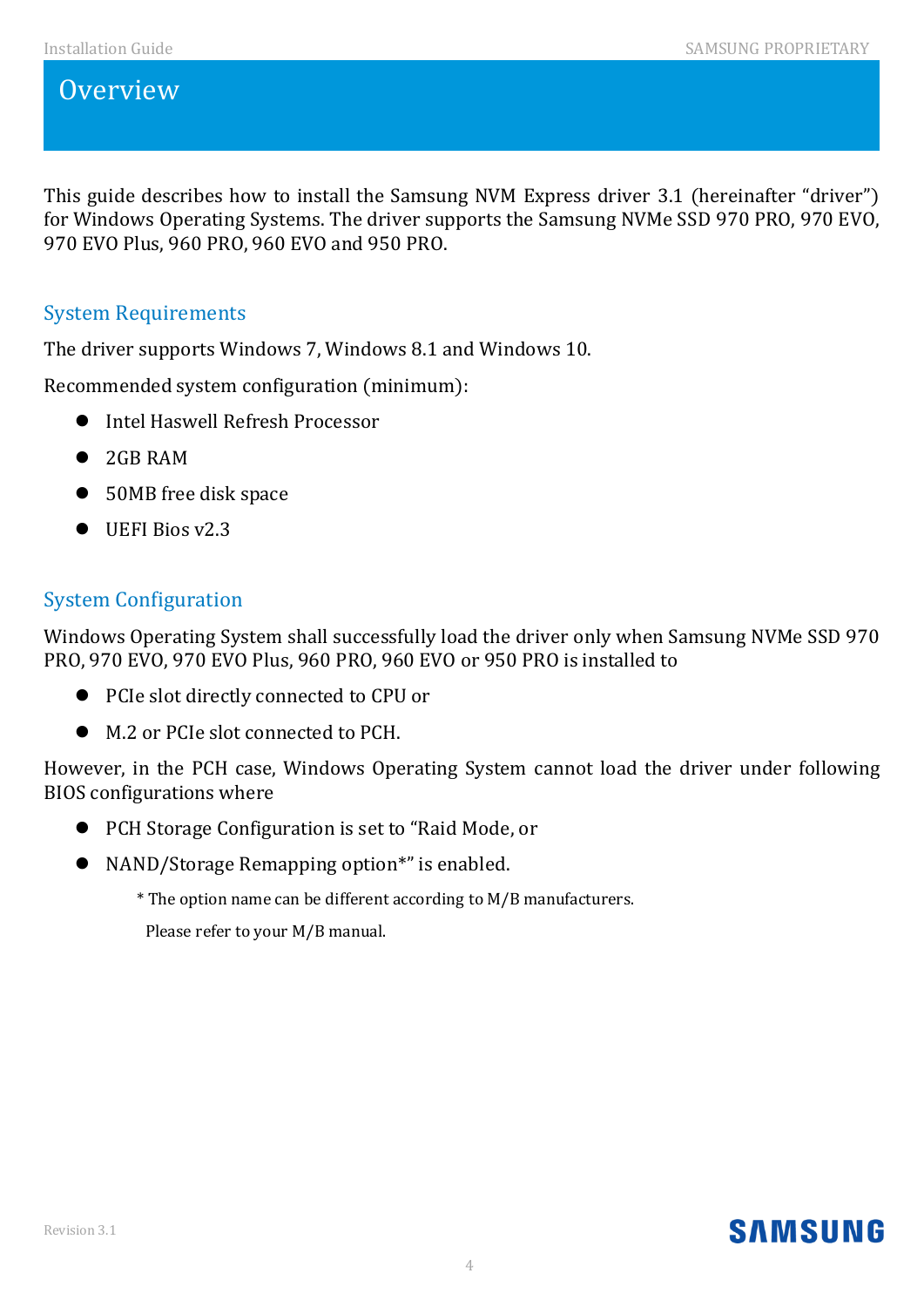# **Overview**

This guide describes how to install the Samsung NVM Express driver 3.1 (hereinafter "driver") for Windows Operating Systems. The driver supports the Samsung NVMe SSD 970 PRO, 970 EVO, 970 EVO Plus, 960 PRO, 960 EVO and 950 PRO.

## System Requirements

The driver supports Windows 7, Windows 8.1 and Windows 10.

Recommended system configuration (minimum):

- **•** Intel Haswell Refresh Processor
- 2GB RAM
- 50MB free disk space
- $\bullet$  UEFI Bios v2.3

# System Configuration

Windows Operating System shall successfully load the driver only when Samsung NVMe SSD 970 PRO, 970 EVO, 970 EVO Plus, 960 PRO, 960 EVO or 950 PRO is installed to

- PCIe slot directly connected to CPU or
- $\bullet$  M.2 or PCIe slot connected to PCH.

However, in the PCH case, Windows Operating System cannot load the driver under following BIOS configurations where

- PCH Storage Configuration is set to "Raid Mode, or
- NAND/Storage Remapping option<sup>\*</sup>" is enabled.
	- \* The option name can be different according to M/B manufacturers.

Please refer to your M/B manual.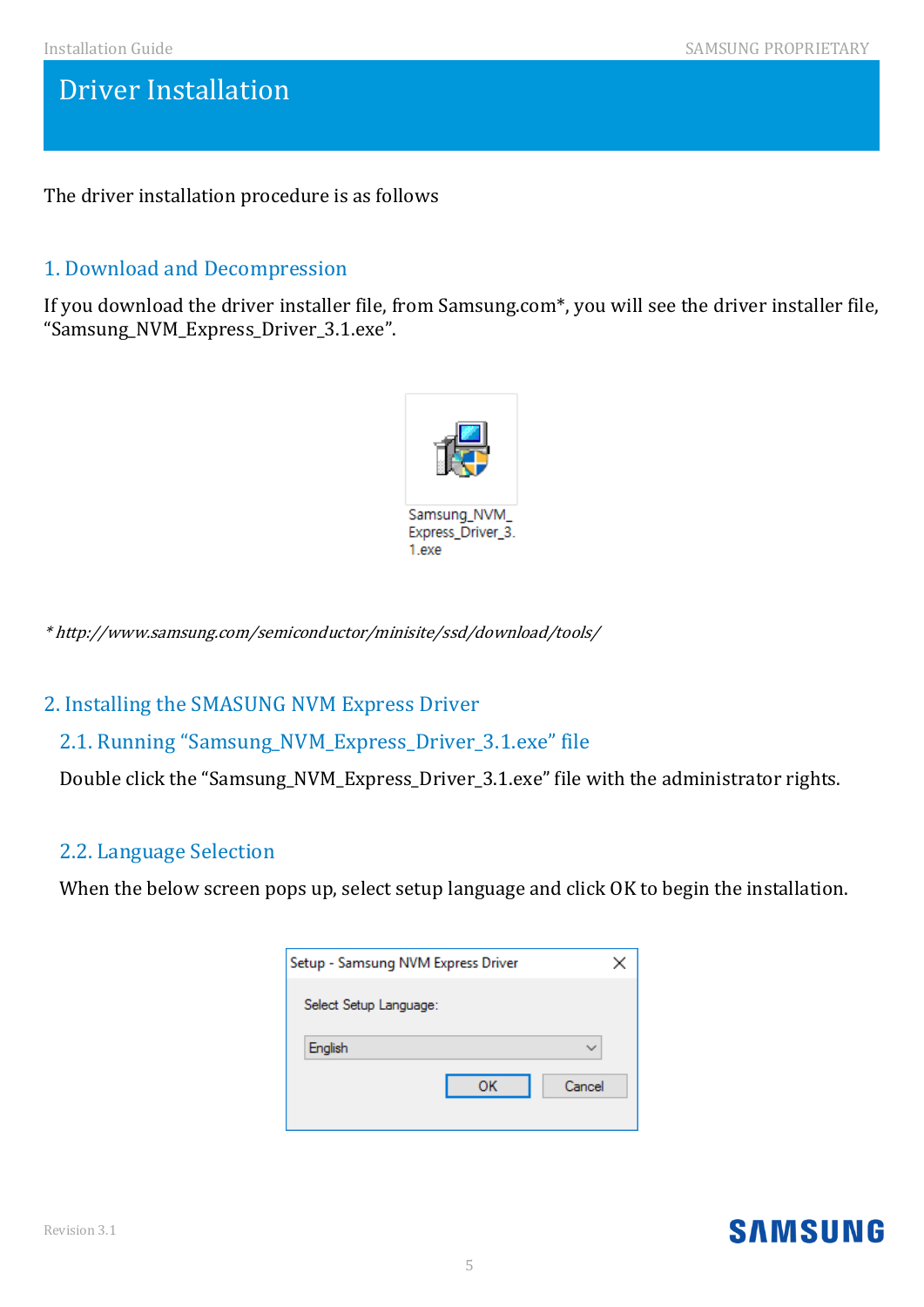The driver installation procedure is as follows

# 1. Download and Decompression

If you download the driver installer file, from Samsung.com\*, you will see the driver installer file, "Samsung\_NVM\_Express\_Driver\_3.1.exe".



\* http://www.samsung.com/semiconductor/minisite/ssd/download/tools/

## 2. Installing the SMASUNG NVM Express Driver

## 2.1. Running "Samsung\_NVM\_Express\_Driver\_3.1.exe" file

Double click the "Samsung\_NVM\_Express\_Driver\_3.1.exe" file with the administrator rights.

## 2.2. Language Selection

When the below screen pops up, select setup language and click OK to begin the installation.

| Setup - Samsung NVM Express Driver | × |
|------------------------------------|---|
| Select Setup Language:             |   |
| English                            |   |
| OK<br>Cancel                       |   |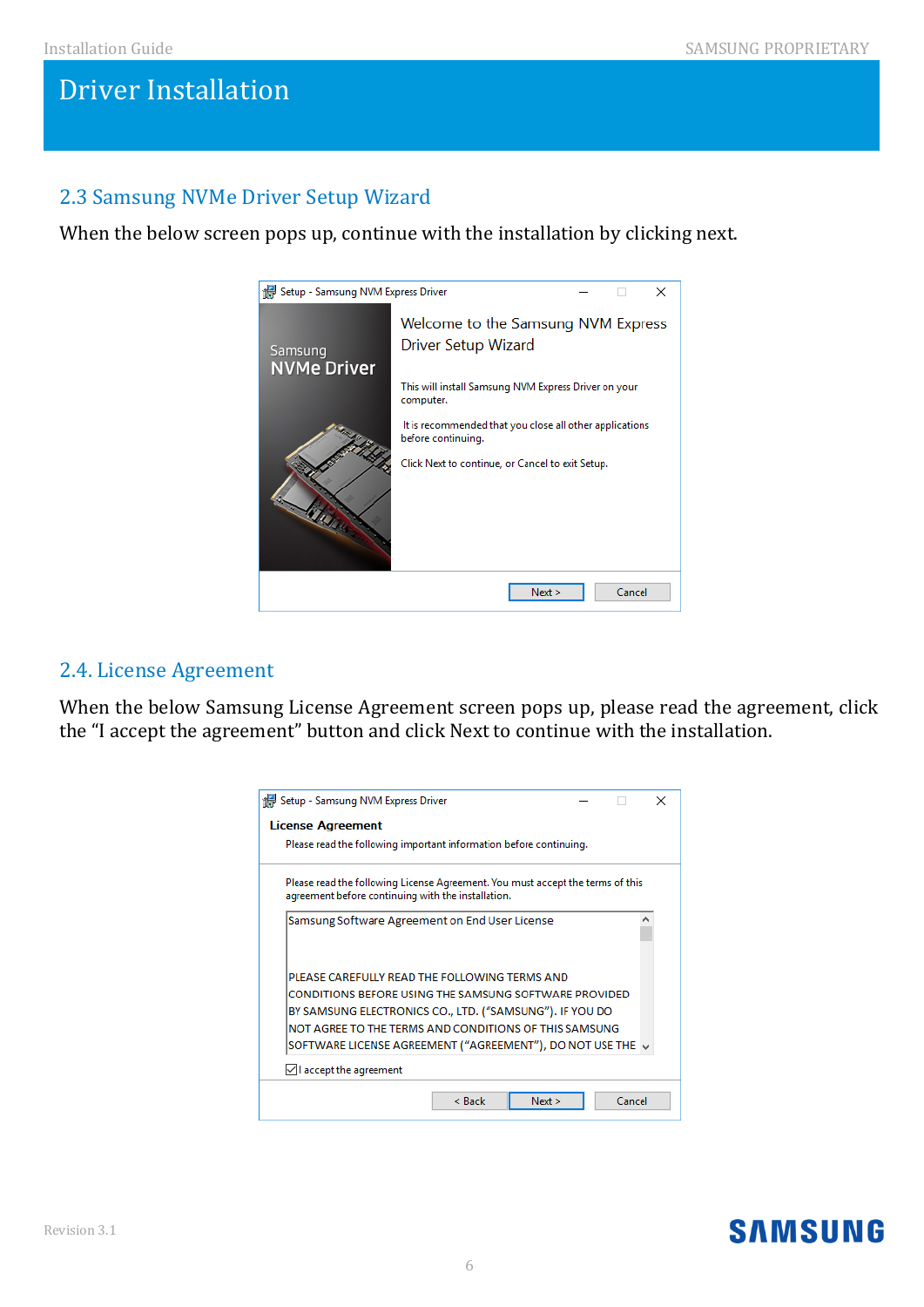# 2.3 Samsung NVMe Driver Setup Wizard

When the below screen pops up, continue with the installation by clicking next.



# 2.4. License Agreement

When the below Samsung License Agreement screen pops up, please read the agreement, click the "I accept the agreement" button and click Next to continue with the installation.

| <b>License Agreement</b>                                                                                                             |  |   |
|--------------------------------------------------------------------------------------------------------------------------------------|--|---|
| Please read the following important information before continuing.                                                                   |  |   |
| Please read the following License Agreement. You must accept the terms of this<br>agreement before continuing with the installation. |  |   |
| Samsung Software Agreement on End User License                                                                                       |  | Α |
| PLEASE CAREFULLY READ THE FOLLOWING TERMS AND                                                                                        |  |   |
| CONDITIONS BEFORE USING THE SAMSUNG SOFTWARE PROVIDED                                                                                |  |   |
| BY SAMSUNG ELECTRONICS CO., LTD. ("SAMSUNG"). IF YOU DO                                                                              |  |   |
| NOT AGREE TO THE TERMS AND CONDITIONS OF THIS SAMSUNG                                                                                |  |   |
| SOFTWARE LICENSE AGREEMENT ("AGREEMENT"), DO NOT USE THE $\downarrow$                                                                |  |   |
|                                                                                                                                      |  |   |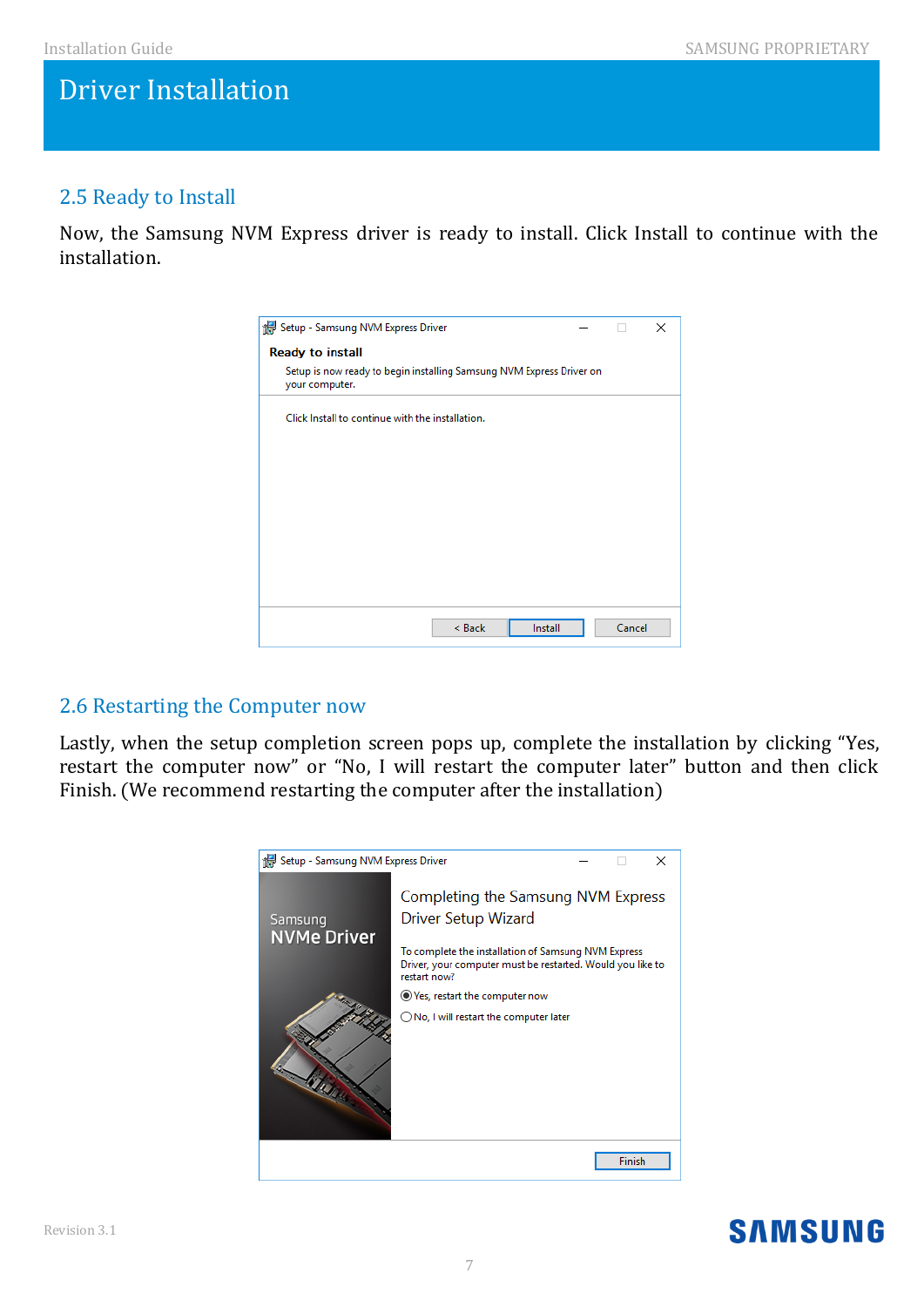# 2.5 Ready to Install

Now, the Samsung NVM Express driver is ready to install. Click Install to continue with the installation.

| Setup - Samsung NVM Express Driver                                                     |  |        | × |  |  |  |  |
|----------------------------------------------------------------------------------------|--|--------|---|--|--|--|--|
| <b>Ready to install</b>                                                                |  |        |   |  |  |  |  |
| Setup is now ready to begin installing Samsung NVM Express Driver on<br>your computer. |  |        |   |  |  |  |  |
| Click Install to continue with the installation.                                       |  |        |   |  |  |  |  |
|                                                                                        |  |        |   |  |  |  |  |
|                                                                                        |  |        |   |  |  |  |  |
|                                                                                        |  |        |   |  |  |  |  |
|                                                                                        |  |        |   |  |  |  |  |
|                                                                                        |  |        |   |  |  |  |  |
|                                                                                        |  |        |   |  |  |  |  |
|                                                                                        |  |        |   |  |  |  |  |
| < Back<br>Install                                                                      |  | Cancel |   |  |  |  |  |

## 2.6 Restarting the Computer now

Lastly, when the setup completion screen pops up, complete the installation by clicking "Yes, restart the computer now" or "No, I will restart the computer later" button and then click Finish. (We recommend restarting the computer after the installation)



#### Revision 3.1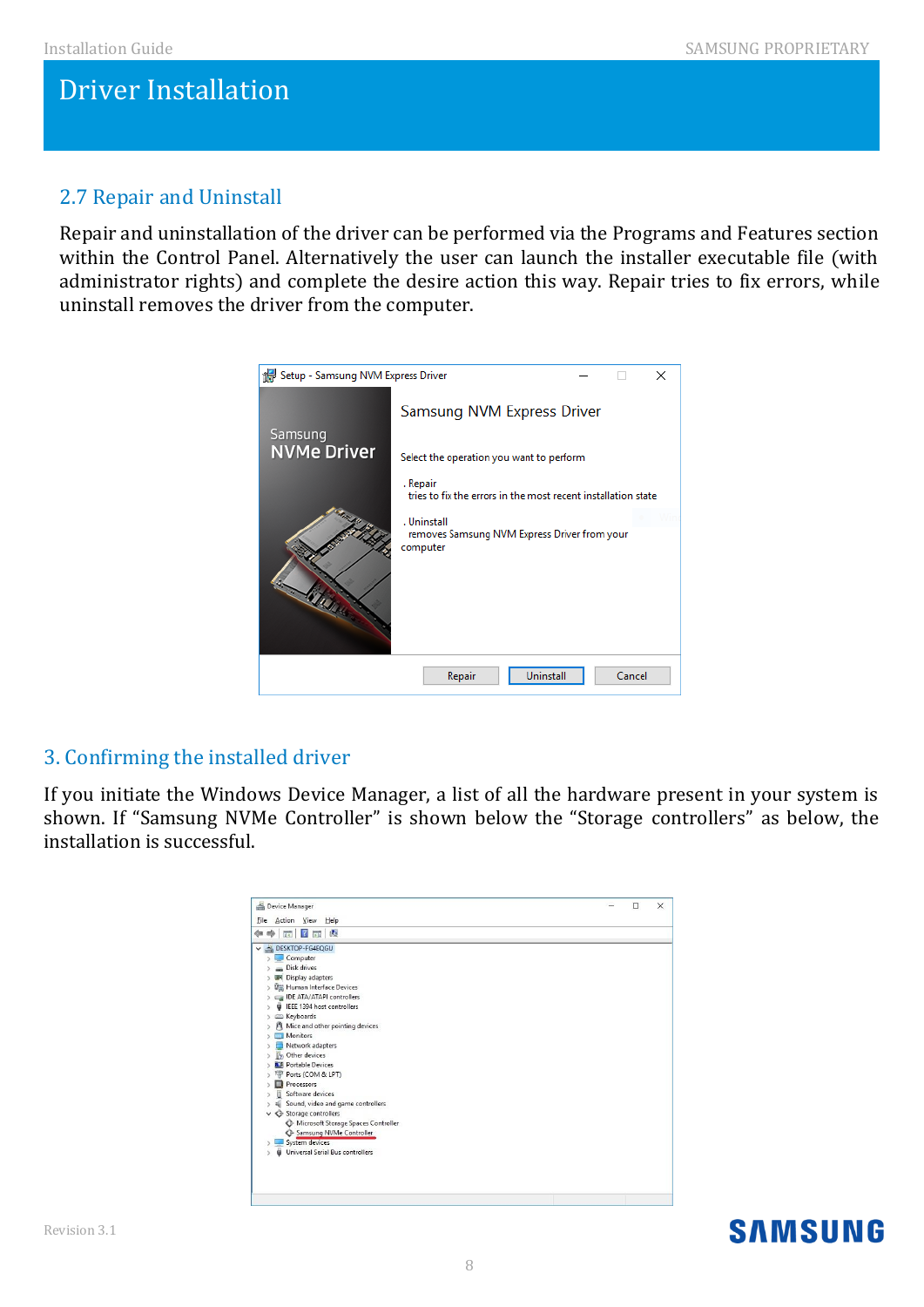# 2.7 Repair and Uninstall

Repair and uninstallation of the driver can be performed via the Programs and Features section within the Control Panel. Alternatively the user can launch the installer executable file (with administrator rights) and complete the desire action this way. Repair tries to fix errors, while uninstall removes the driver from the computer.



# 3. Confirming the installed driver

If you initiate the Windows Device Manager, a list of all the hardware present in your system is shown. If "Samsung NVMe Controller" is shown below the "Storage controllers" as below, the installation is successful.

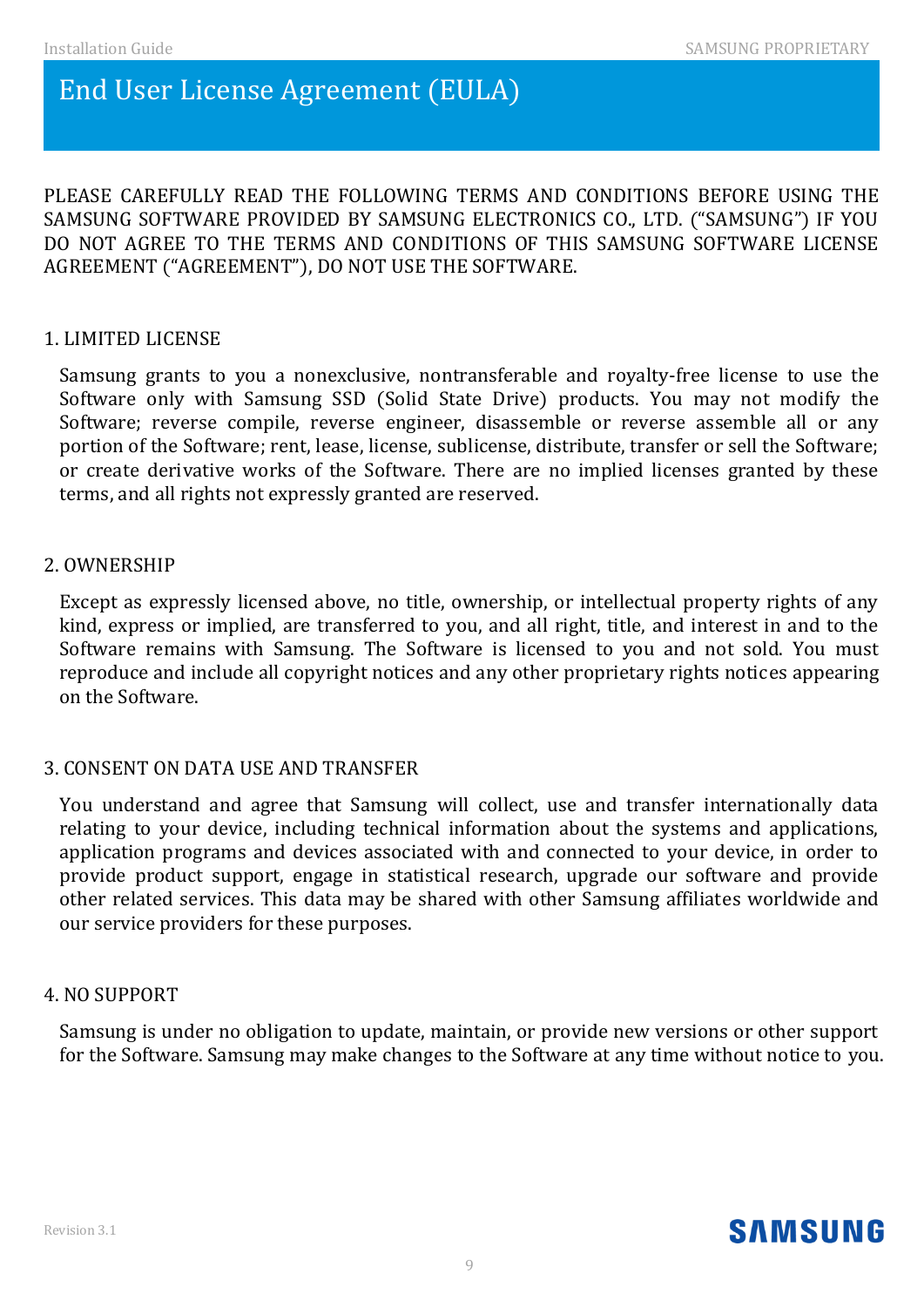# End User License Agreement (EULA)

PLEASE CAREFULLY READ THE FOLLOWING TERMS AND CONDITIONS BEFORE USING THE SAMSUNG SOFTWARE PROVIDED BY SAMSUNG ELECTRONICS CO., LTD. ("SAMSUNG") IF YOU DO NOT AGREE TO THE TERMS AND CONDITIONS OF THIS SAMSUNG SOFTWARE LICENSE AGREEMENT ("AGREEMENT"), DO NOT USE THE SOFTWARE.

## 1. LIMITED LICENSE

Samsung grants to you a nonexclusive, nontransferable and royalty-free license to use the Software only with Samsung SSD (Solid State Drive) products. You may not modify the Software; reverse compile, reverse engineer, disassemble or reverse assemble all or any portion of the Software; rent, lease, license, sublicense, distribute, transfer or sell the Software; or create derivative works of the Software. There are no implied licenses granted by these terms, and all rights not expressly granted are reserved.

## 2. OWNERSHIP

Except as expressly licensed above, no title, ownership, or intellectual property rights of any kind, express or implied, are transferred to you, and all right, title, and interest in and to the Software remains with Samsung. The Software is licensed to you and not sold. You must reproduce and include all copyright notices and any other proprietary rights notices appearing on the Software.

## 3. CONSENT ON DATA USE AND TRANSFER

You understand and agree that Samsung will collect, use and transfer internationally data relating to your device, including technical information about the systems and applications, application programs and devices associated with and connected to your device, in order to provide product support, engage in statistical research, upgrade our software and provide other related services. This data may be shared with other Samsung affiliates worldwide and our service providers for these purposes.

## 4. NO SUPPORT

Samsung is under no obligation to update, maintain, or provide new versions or other support for the Software. Samsung may make changes to the Software at any time without notice to you.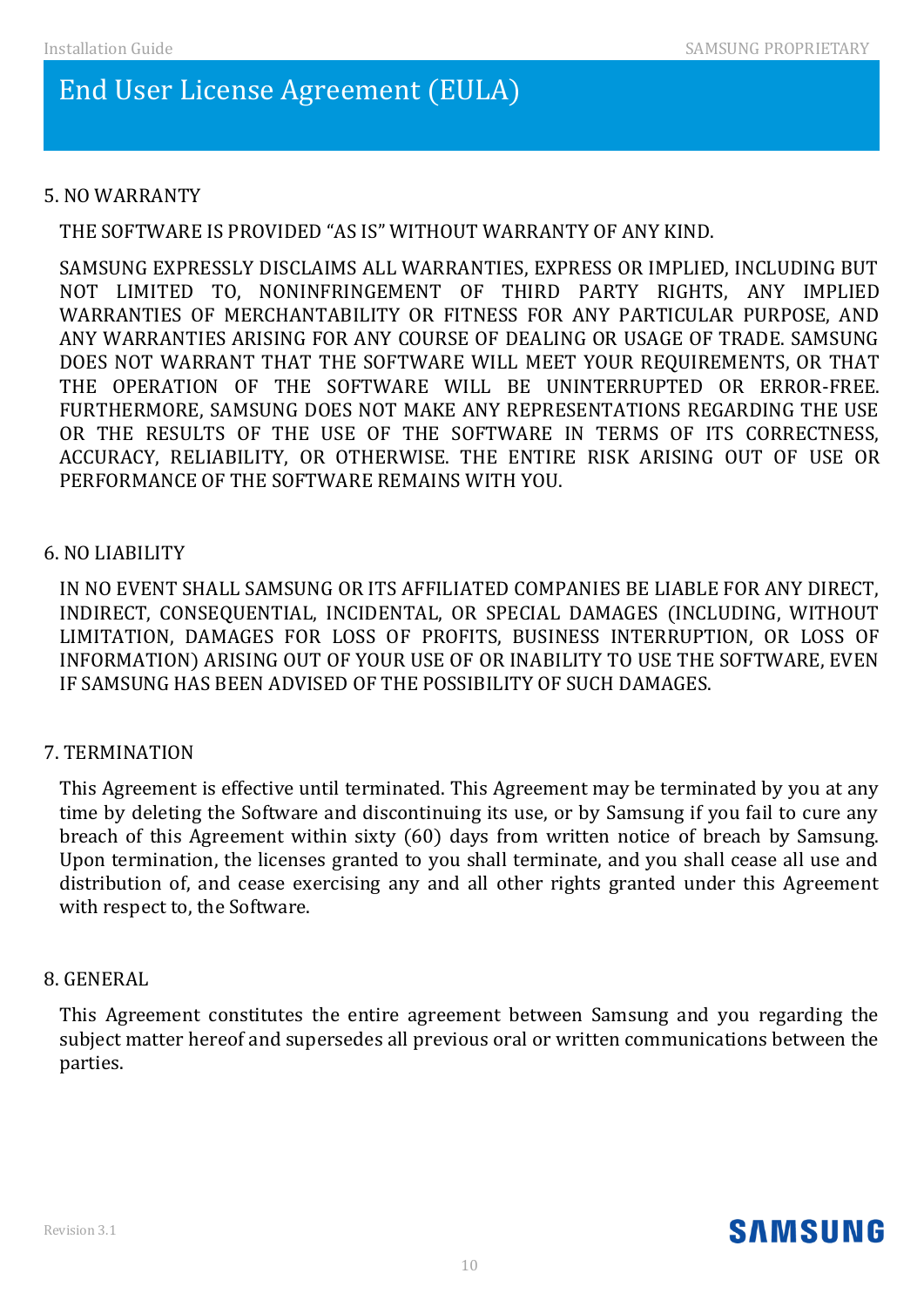# End User License Agreement (EULA)

## 5. NO WARRANTY

THE SOFTWARE IS PROVIDED "AS IS" WITHOUT WARRANTY OF ANY KIND.

SAMSUNG EXPRESSLY DISCLAIMS ALL WARRANTIES, EXPRESS OR IMPLIED, INCLUDING BUT NOT LIMITED TO, NONINFRINGEMENT OF THIRD PARTY RIGHTS, ANY IMPLIED WARRANTIES OF MERCHANTABILITY OR FITNESS FOR ANY PARTICULAR PURPOSE, AND ANY WARRANTIES ARISING FOR ANY COURSE OF DEALING OR USAGE OF TRADE. SAMSUNG DOES NOT WARRANT THAT THE SOFTWARE WILL MEET YOUR REQUIREMENTS, OR THAT THE OPERATION OF THE SOFTWARE WILL BE UNINTERRUPTED OR ERROR-FREE. FURTHERMORE, SAMSUNG DOES NOT MAKE ANY REPRESENTATIONS REGARDING THE USE OR THE RESULTS OF THE USE OF THE SOFTWARE IN TERMS OF ITS CORRECTNESS, ACCURACY, RELIABILITY, OR OTHERWISE. THE ENTIRE RISK ARISING OUT OF USE OR PERFORMANCE OF THE SOFTWARE REMAINS WITH YOU.

## 6. NO LIABILITY

IN NO EVENT SHALL SAMSUNG OR ITS AFFILIATED COMPANIES BE LIABLE FOR ANY DIRECT, INDIRECT, CONSEQUENTIAL, INCIDENTAL, OR SPECIAL DAMAGES (INCLUDING, WITHOUT LIMITATION, DAMAGES FOR LOSS OF PROFITS, BUSINESS INTERRUPTION, OR LOSS OF INFORMATION) ARISING OUT OF YOUR USE OF OR INABILITY TO USE THE SOFTWARE, EVEN IF SAMSUNG HAS BEEN ADVISED OF THE POSSIBILITY OF SUCH DAMAGES.

## 7. TERMINATION

This Agreement is effective until terminated. This Agreement may be terminated by you at any time by deleting the Software and discontinuing its use, or by Samsung if you fail to cure any breach of this Agreement within sixty (60) days from written notice of breach by Samsung. Upon termination, the licenses granted to you shall terminate, and you shall cease all use and distribution of, and cease exercising any and all other rights granted under this Agreement with respect to, the Software.

## 8. GENERAL

This Agreement constitutes the entire agreement between Samsung and you regarding the subject matter hereof and supersedes all previous oral or written communications between the parties.

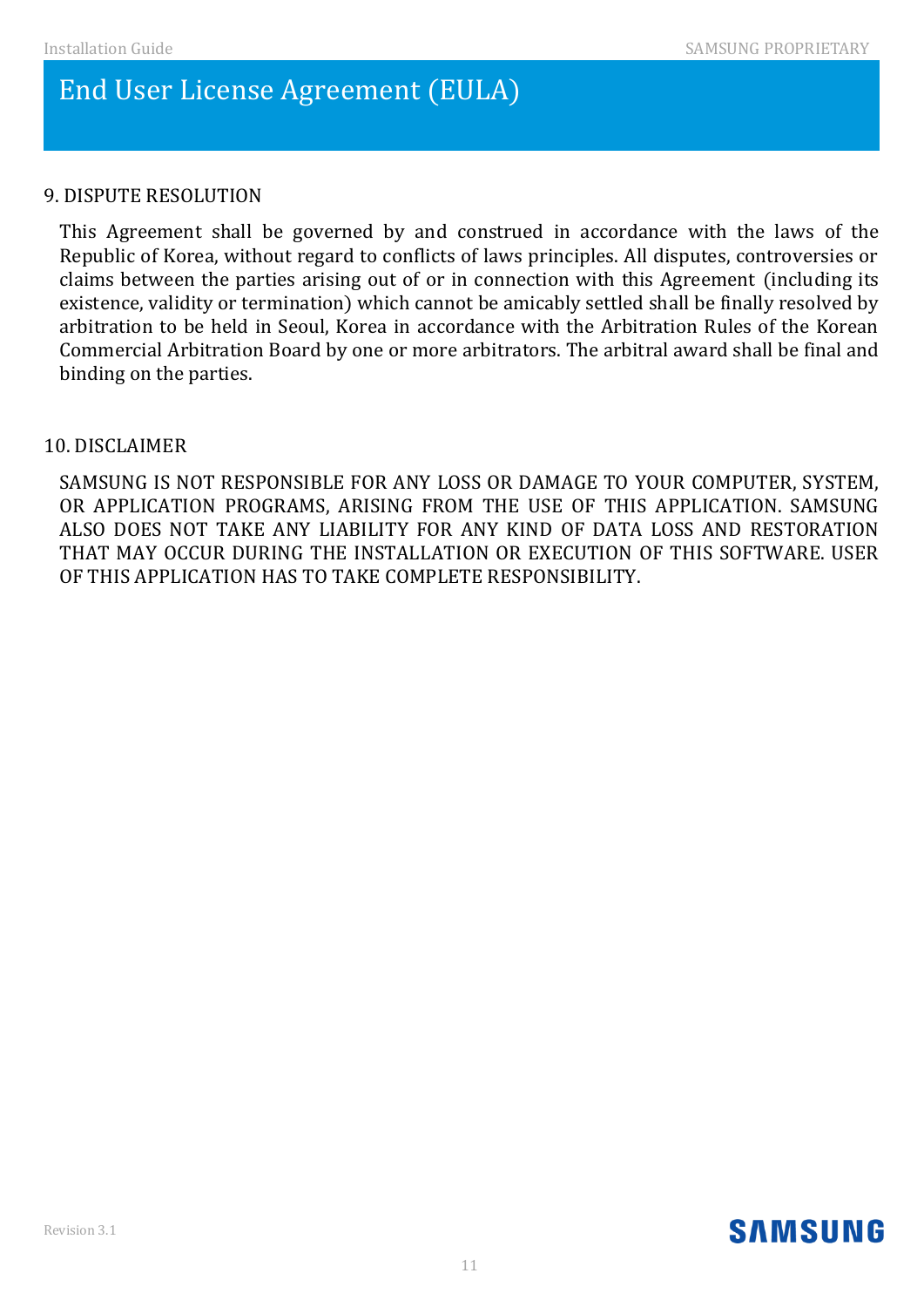# End User License Agreement (EULA)

## 9. DISPUTE RESOLUTION

This Agreement shall be governed by and construed in accordance with the laws of the Republic of Korea, without regard to conflicts of laws principles. All disputes, controversies or claims between the parties arising out of or in connection with this Agreement (including its existence, validity or termination) which cannot be amicably settled shall be finally resolved by arbitration to be held in Seoul, Korea in accordance with the Arbitration Rules of the Korean Commercial Arbitration Board by one or more arbitrators. The arbitral award shall be final and binding on the parties.

## 10. DISCLAIMER

SAMSUNG IS NOT RESPONSIBLE FOR ANY LOSS OR DAMAGE TO YOUR COMPUTER, SYSTEM, OR APPLICATION PROGRAMS, ARISING FROM THE USE OF THIS APPLICATION. SAMSUNG ALSO DOES NOT TAKE ANY LIABILITY FOR ANY KIND OF DATA LOSS AND RESTORATION THAT MAY OCCUR DURING THE INSTALLATION OR EXECUTION OF THIS SOFTWARE. USER OF THIS APPLICATION HAS TO TAKE COMPLETE RESPONSIBILITY.